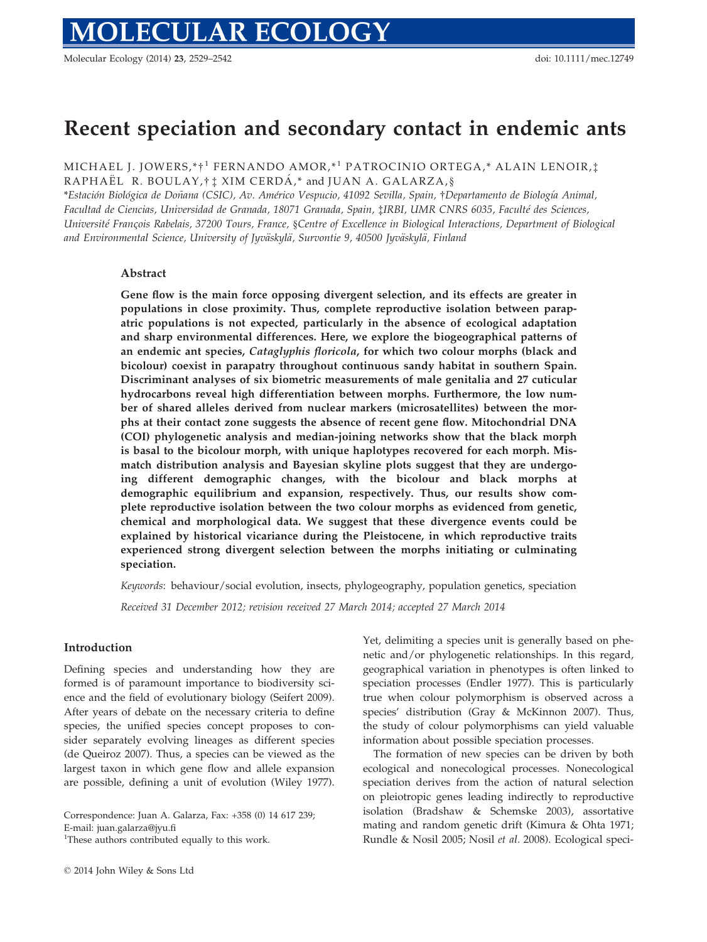Molecular Ecology (2014) 23, 2529–2542 doi: 10.1111/mec.12749

# Recent speciation and secondary contact in endemic ants

MICHAEL J. JOWERS,\*†<sup>1</sup> FERNANDO AMOR,\*<sup>1</sup> PATROCINIO ORTEGA,\* ALAIN LENOIR, $\ddagger$  $\verb|RAPHAËL R. BOLLAY,t$   $\ddagger$   $\verb|XIM CERDÁ,^*$  and JUAN A.  $\verb|GALARZA|,$   $\S$ 

\*Estación Biológica de Doñana (CSIC), Av. Américo Vespucio, 41092 Sevilla, Spain, †Departamento de Biología Animal, Facultad de Ciencias, Universidad de Granada, 18071 Granada, Spain, ‡IRBI, UMR CNRS 6035, Faculte des Sciences, Universite Francois Rabelais, 37200 Tours, France, §Centre of Excellence in Biological Interactions, Department of Biological and Environmental Science, University of Jyväskylä, Survontie 9, 40500 Jyväskylä, Finland

# Abstract

Gene flow is the main force opposing divergent selection, and its effects are greater in populations in close proximity. Thus, complete reproductive isolation between parapatric populations is not expected, particularly in the absence of ecological adaptation and sharp environmental differences. Here, we explore the biogeographical patterns of an endemic ant species, Cataglyphis floricola, for which two colour morphs (black and bicolour) coexist in parapatry throughout continuous sandy habitat in southern Spain. Discriminant analyses of six biometric measurements of male genitalia and 27 cuticular hydrocarbons reveal high differentiation between morphs. Furthermore, the low number of shared alleles derived from nuclear markers (microsatellites) between the morphs at their contact zone suggests the absence of recent gene flow. Mitochondrial DNA (COI) phylogenetic analysis and median-joining networks show that the black morph is basal to the bicolour morph, with unique haplotypes recovered for each morph. Mismatch distribution analysis and Bayesian skyline plots suggest that they are undergoing different demographic changes, with the bicolour and black morphs at demographic equilibrium and expansion, respectively. Thus, our results show complete reproductive isolation between the two colour morphs as evidenced from genetic, chemical and morphological data. We suggest that these divergence events could be explained by historical vicariance during the Pleistocene, in which reproductive traits experienced strong divergent selection between the morphs initiating or culminating speciation.

Keywords: behaviour/social evolution, insects, phylogeography, population genetics, speciation

Received 31 December 2012; revision received 27 March 2014; accepted 27 March 2014

# Introduction

Defining species and understanding how they are formed is of paramount importance to biodiversity science and the field of evolutionary biology (Seifert 2009). After years of debate on the necessary criteria to define species, the unified species concept proposes to consider separately evolving lineages as different species (de Queiroz 2007). Thus, a species can be viewed as the largest taxon in which gene flow and allele expansion are possible, defining a unit of evolution (Wiley 1977).

Correspondence: Juan A. Galarza, Fax: +358 (0) 14 617 239; E-mail: juan.galarza@jyu.fi

<sup>1</sup>These authors contributed equally to this work.

Yet, delimiting a species unit is generally based on phenetic and/or phylogenetic relationships. In this regard, geographical variation in phenotypes is often linked to speciation processes (Endler 1977). This is particularly true when colour polymorphism is observed across a species' distribution (Gray & McKinnon 2007). Thus, the study of colour polymorphisms can yield valuable information about possible speciation processes.

The formation of new species can be driven by both ecological and nonecological processes. Nonecological speciation derives from the action of natural selection on pleiotropic genes leading indirectly to reproductive isolation (Bradshaw & Schemske 2003), assortative mating and random genetic drift (Kimura & Ohta 1971; Rundle & Nosil 2005; Nosil et al. 2008). Ecological speci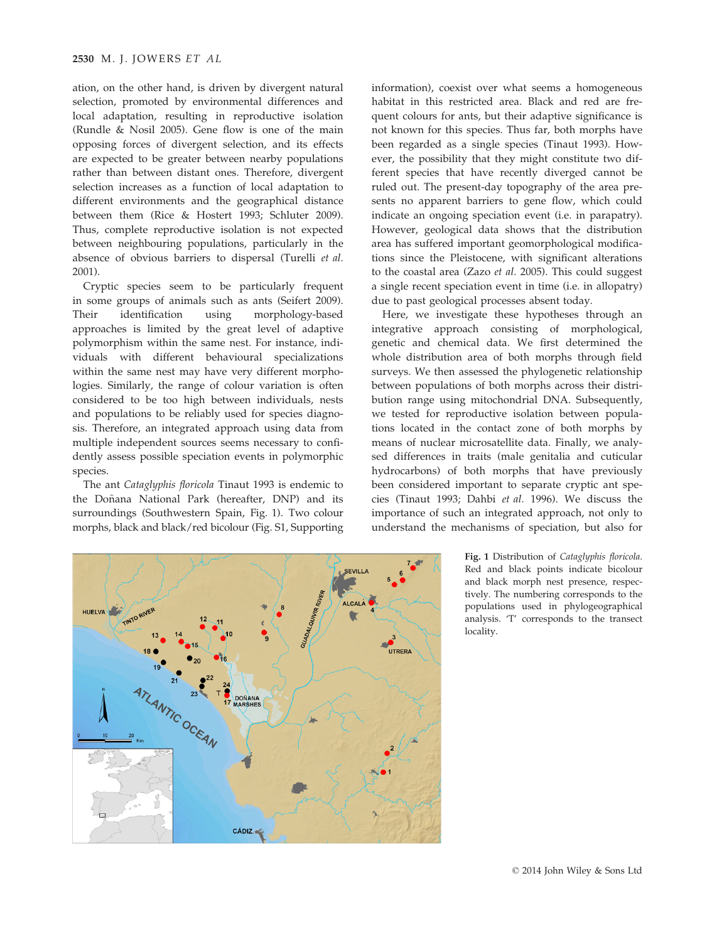ation, on the other hand, is driven by divergent natural selection, promoted by environmental differences and local adaptation, resulting in reproductive isolation (Rundle & Nosil 2005). Gene flow is one of the main opposing forces of divergent selection, and its effects are expected to be greater between nearby populations rather than between distant ones. Therefore, divergent selection increases as a function of local adaptation to different environments and the geographical distance between them (Rice & Hostert 1993; Schluter 2009). Thus, complete reproductive isolation is not expected between neighbouring populations, particularly in the absence of obvious barriers to dispersal (Turelli et al. 2001).

Cryptic species seem to be particularly frequent in some groups of animals such as ants (Seifert 2009). Their identification using morphology-based approaches is limited by the great level of adaptive polymorphism within the same nest. For instance, individuals with different behavioural specializations within the same nest may have very different morphologies. Similarly, the range of colour variation is often considered to be too high between individuals, nests and populations to be reliably used for species diagnosis. Therefore, an integrated approach using data from multiple independent sources seems necessary to confidently assess possible speciation events in polymorphic species.

The ant Cataglyphis floricola Tinaut 1993 is endemic to the Doñana National Park (hereafter, DNP) and its surroundings (Southwestern Spain, Fig. 1). Two colour morphs, black and black/red bicolour (Fig. S1, Supporting

information), coexist over what seems a homogeneous habitat in this restricted area. Black and red are frequent colours for ants, but their adaptive significance is not known for this species. Thus far, both morphs have been regarded as a single species (Tinaut 1993). However, the possibility that they might constitute two different species that have recently diverged cannot be ruled out. The present-day topography of the area presents no apparent barriers to gene flow, which could indicate an ongoing speciation event (i.e. in parapatry). However, geological data shows that the distribution area has suffered important geomorphological modifications since the Pleistocene, with significant alterations to the coastal area (Zazo et al. 2005). This could suggest a single recent speciation event in time (i.e. in allopatry) due to past geological processes absent today.

Here, we investigate these hypotheses through an integrative approach consisting of morphological, genetic and chemical data. We first determined the whole distribution area of both morphs through field surveys. We then assessed the phylogenetic relationship between populations of both morphs across their distribution range using mitochondrial DNA. Subsequently, we tested for reproductive isolation between populations located in the contact zone of both morphs by means of nuclear microsatellite data. Finally, we analysed differences in traits (male genitalia and cuticular hydrocarbons) of both morphs that have previously been considered important to separate cryptic ant species (Tinaut 1993; Dahbi et al. 1996). We discuss the importance of such an integrated approach, not only to understand the mechanisms of speciation, but also for



Fig. 1 Distribution of Cataglyphis floricola. Red and black points indicate bicolour and black morph nest presence, respectively. The numbering corresponds to the populations used in phylogeographical analysis. 'T' corresponds to the transect locality.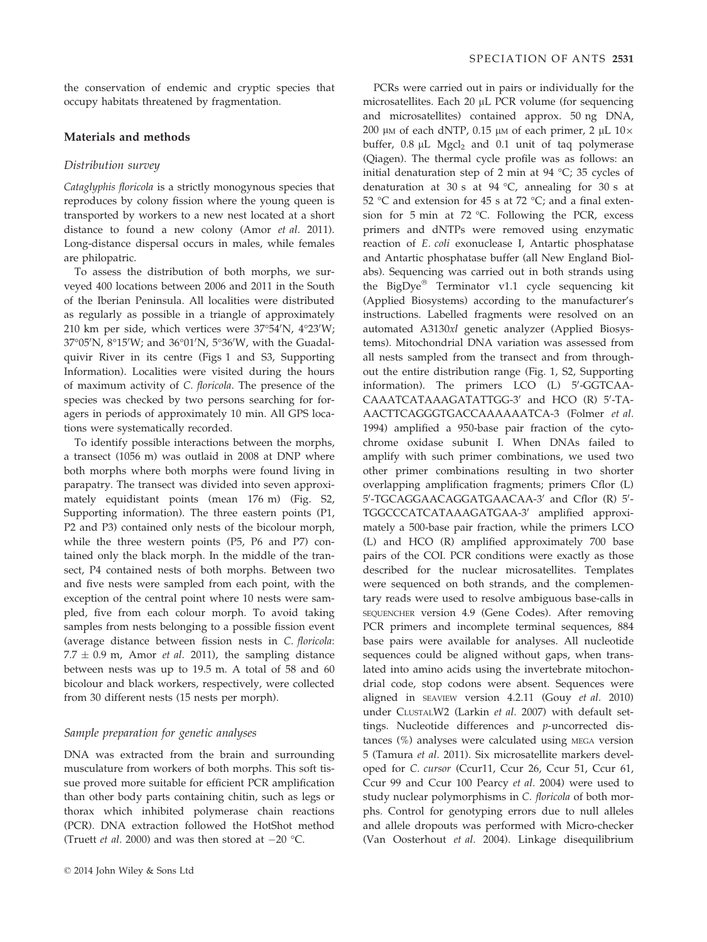the conservation of endemic and cryptic species that occupy habitats threatened by fragmentation.

# Materials and methods

# Distribution survey

Cataglyphis floricola is a strictly monogynous species that reproduces by colony fission where the young queen is transported by workers to a new nest located at a short distance to found a new colony (Amor et al. 2011). Long-distance dispersal occurs in males, while females are philopatric.

To assess the distribution of both morphs, we surveyed 400 locations between 2006 and 2011 in the South of the Iberian Peninsula. All localities were distributed as regularly as possible in a triangle of approximately 210 km per side, which vertices were 37°54′N, 4°23′W; 37°05′N, 8°15′W; and 36°01′N, 5°36′W, with the Guadalquivir River in its centre (Figs 1 and S3, Supporting Information). Localities were visited during the hours of maximum activity of C. floricola. The presence of the species was checked by two persons searching for foragers in periods of approximately 10 min. All GPS locations were systematically recorded.

To identify possible interactions between the morphs, a transect (1056 m) was outlaid in 2008 at DNP where both morphs where both morphs were found living in parapatry. The transect was divided into seven approximately equidistant points (mean 176 m) (Fig. S2, Supporting information). The three eastern points (P1, P2 and P3) contained only nests of the bicolour morph, while the three western points (P5, P6 and P7) contained only the black morph. In the middle of the transect, P4 contained nests of both morphs. Between two and five nests were sampled from each point, with the exception of the central point where 10 nests were sampled, five from each colour morph. To avoid taking samples from nests belonging to a possible fission event (average distance between fission nests in C. floricola:  $7.7 \pm 0.9$  m, Amor *et al.* 2011), the sampling distance between nests was up to 19.5 m. A total of 58 and 60 bicolour and black workers, respectively, were collected from 30 different nests (15 nests per morph).

# Sample preparation for genetic analyses

DNA was extracted from the brain and surrounding musculature from workers of both morphs. This soft tissue proved more suitable for efficient PCR amplification than other body parts containing chitin, such as legs or thorax which inhibited polymerase chain reactions (PCR). DNA extraction followed the HotShot method (Truett *et al.* 2000) and was then stored at  $-20$  °C.

PCRs were carried out in pairs or individually for the microsatellites. Each 20 µL PCR volume (for sequencing and microsatellites) contained approx. 50 ng DNA, 200 μm of each dNTP, 0.15 μm of each primer, 2 μL  $10\times$ buffer,  $0.8 \mu L$  Mgcl<sub>2</sub> and  $0.1$  unit of taq polymerase (Qiagen). The thermal cycle profile was as follows: an initial denaturation step of 2 min at 94 °C; 35 cycles of denaturation at 30 s at 94 °C, annealing for 30 s at 52 °C and extension for 45 s at 72 °C; and a final extension for 5 min at 72 °C. Following the PCR, excess primers and dNTPs were removed using enzymatic reaction of E. coli exonuclease I, Antartic phosphatase and Antartic phosphatase buffer (all New England Biolabs). Sequencing was carried out in both strands using the BigDye® Terminator v1.1 cycle sequencing kit (Applied Biosystems) according to the manufacturer's instructions. Labelled fragments were resolved on an automated A3130xl genetic analyzer (Applied Biosystems). Mitochondrial DNA variation was assessed from all nests sampled from the transect and from throughout the entire distribution range (Fig. 1, S2, Supporting information). The primers LCO (L) 5'-GGTCAA-CAAATCATAAAGATATTGG-3' and HCO (R) 5'-TA-AACTTCAGGGTGACCAAAAAATCA-3 (Folmer et al. 1994) amplified a 950-base pair fraction of the cytochrome oxidase subunit I. When DNAs failed to amplify with such primer combinations, we used two other primer combinations resulting in two shorter overlapping amplification fragments; primers Cflor (L) 5'-TGCAGGAACAGGATGAACAA-3' and Cflor (R) 5'-TGGCCCATCATAAAGATGAA-3' amplified approximately a 500-base pair fraction, while the primers LCO (L) and HCO (R) amplified approximately 700 base pairs of the COI. PCR conditions were exactly as those described for the nuclear microsatellites. Templates were sequenced on both strands, and the complementary reads were used to resolve ambiguous base-calls in SEQUENCHER version 4.9 (Gene Codes). After removing PCR primers and incomplete terminal sequences, 884 base pairs were available for analyses. All nucleotide sequences could be aligned without gaps, when translated into amino acids using the invertebrate mitochondrial code, stop codons were absent. Sequences were aligned in SEAVIEW version 4.2.11 (Gouy et al. 2010) under CLUSTALW2 (Larkin et al. 2007) with default settings. Nucleotide differences and p-uncorrected distances (%) analyses were calculated using MEGA version 5 (Tamura et al. 2011). Six microsatellite markers developed for C. cursor (Ccur11, Ccur 26, Ccur 51, Ccur 61, Ccur 99 and Ccur 100 Pearcy et al. 2004) were used to study nuclear polymorphisms in C. floricola of both morphs. Control for genotyping errors due to null alleles and allele dropouts was performed with Micro-checker (Van Oosterhout et al. 2004). Linkage disequilibrium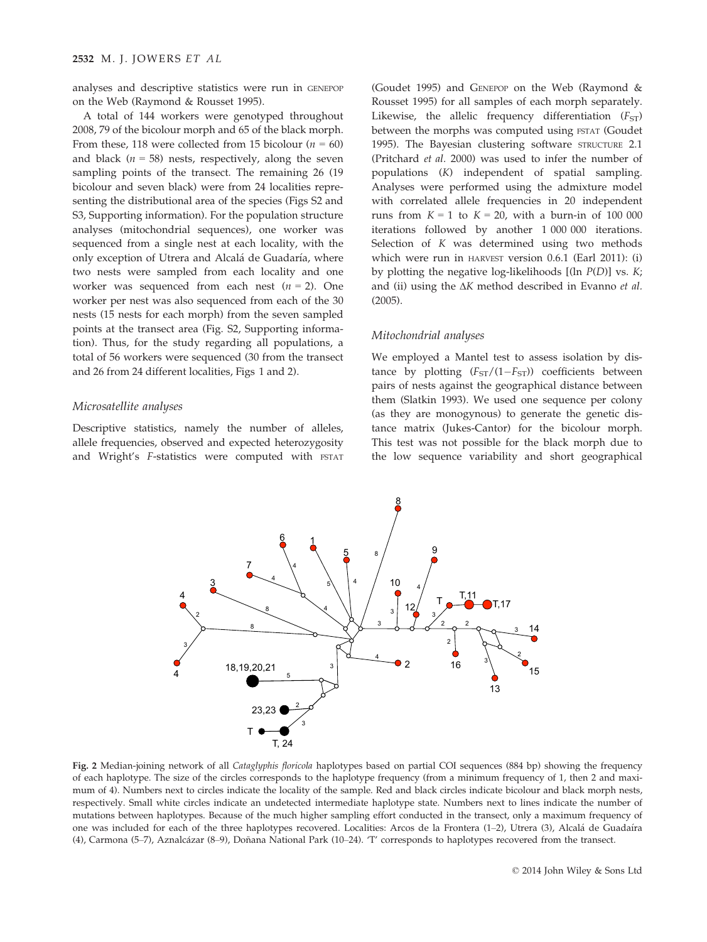analyses and descriptive statistics were run in GENEPOP on the Web (Raymond & Rousset 1995).

A total of 144 workers were genotyped throughout 2008, 79 of the bicolour morph and 65 of the black morph. From these, 118 were collected from 15 bicolour ( $n = 60$ ) and black ( $n = 58$ ) nests, respectively, along the seven sampling points of the transect. The remaining 26 (19 bicolour and seven black) were from 24 localities representing the distributional area of the species (Figs S2 and S3, Supporting information). For the population structure analyses (mitochondrial sequences), one worker was sequenced from a single nest at each locality, with the only exception of Utrera and Alcalá de Guadaría, where two nests were sampled from each locality and one worker was sequenced from each nest  $(n = 2)$ . One worker per nest was also sequenced from each of the 30 nests (15 nests for each morph) from the seven sampled points at the transect area (Fig. S2, Supporting information). Thus, for the study regarding all populations, a total of 56 workers were sequenced (30 from the transect and 26 from 24 different localities, Figs 1 and 2).

# Microsatellite analyses

Descriptive statistics, namely the number of alleles, allele frequencies, observed and expected heterozygosity and Wright's F-statistics were computed with FSTAT

(Goudet 1995) and GENEPOP on the Web (Raymond & Rousset 1995) for all samples of each morph separately. Likewise, the allelic frequency differentiation  $(F<sub>ST</sub>)$ between the morphs was computed using FSTAT (Goudet 1995). The Bayesian clustering software STRUCTURE 2.1 (Pritchard et al. 2000) was used to infer the number of populations (K) independent of spatial sampling. Analyses were performed using the admixture model with correlated allele frequencies in 20 independent runs from  $K = 1$  to  $K = 20$ , with a burn-in of 100 000 iterations followed by another 1 000 000 iterations. Selection of K was determined using two methods which were run in HARVEST version 0.6.1 (Earl 2011): (i) by plotting the negative log-likelihoods  $[(\ln P(D))]$  vs.  $K;$ and (ii) using the ΔK method described in Evanno et al. (2005).

# Mitochondrial analyses

We employed a Mantel test to assess isolation by distance by plotting  $(F_{ST}/(1-F_{ST}))$  coefficients between pairs of nests against the geographical distance between them (Slatkin 1993). We used one sequence per colony (as they are monogynous) to generate the genetic distance matrix (Jukes-Cantor) for the bicolour morph. This test was not possible for the black morph due to the low sequence variability and short geographical



Fig. 2 Median-joining network of all Cataglyphis floricola haplotypes based on partial COI sequences (884 bp) showing the frequency of each haplotype. The size of the circles corresponds to the haplotype frequency (from a minimum frequency of 1, then 2 and maximum of 4). Numbers next to circles indicate the locality of the sample. Red and black circles indicate bicolour and black morph nests, respectively. Small white circles indicate an undetected intermediate haplotype state. Numbers next to lines indicate the number of mutations between haplotypes. Because of the much higher sampling effort conducted in the transect, only a maximum frequency of one was included for each of the three haplotypes recovered. Localities: Arcos de la Frontera (1–2), Utrera (3), Alcalá de Guadaíra (4), Carmona (5–7), Aznalcázar (8–9), Doñana National Park (10–24). 'T' corresponds to haplotypes recovered from the transect.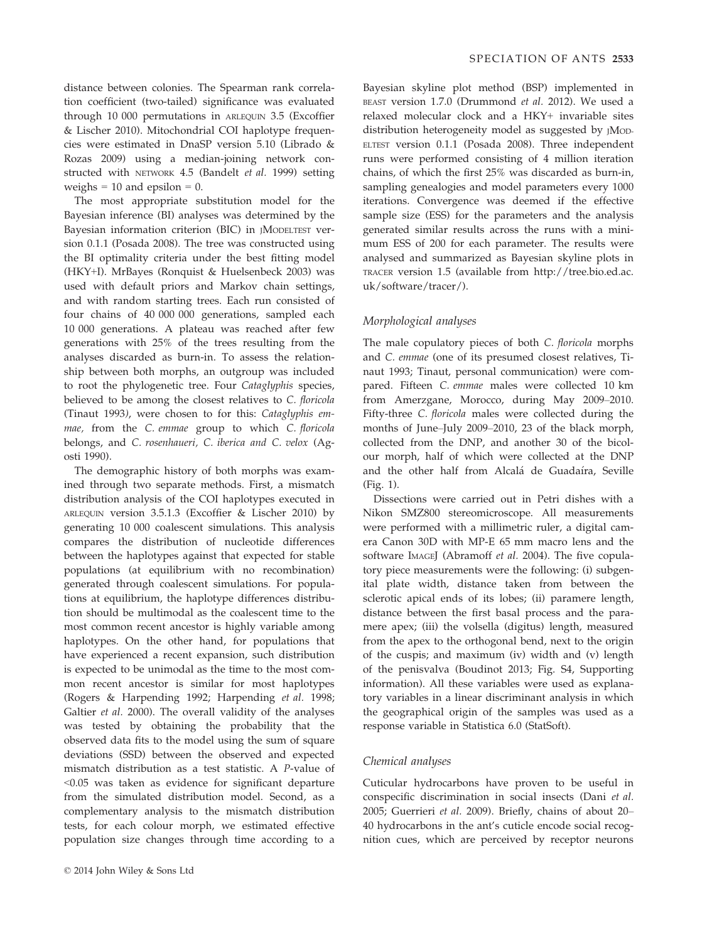distance between colonies. The Spearman rank correlation coefficient (two-tailed) significance was evaluated through 10 000 permutations in ARLEQUIN 3.5 (Excoffier & Lischer 2010). Mitochondrial COI haplotype frequencies were estimated in DnaSP version 5.10 (Librado & Rozas 2009) using a median-joining network constructed with NETWORK 4.5 (Bandelt et al. 1999) setting weighs =  $10$  and epsilon =  $0$ .

The most appropriate substitution model for the Bayesian inference (BI) analyses was determined by the Bayesian information criterion (BIC) in JMODELTEST version 0.1.1 (Posada 2008). The tree was constructed using the BI optimality criteria under the best fitting model (HKY+I). MrBayes (Ronquist & Huelsenbeck 2003) was used with default priors and Markov chain settings, and with random starting trees. Each run consisted of four chains of 40 000 000 generations, sampled each 10 000 generations. A plateau was reached after few generations with 25% of the trees resulting from the analyses discarded as burn-in. To assess the relationship between both morphs, an outgroup was included to root the phylogenetic tree. Four Cataglyphis species, believed to be among the closest relatives to C. floricola (Tinaut 1993), were chosen to for this: Cataglyphis emmae, from the C. emmae group to which C. floricola belongs, and C. rosenhaueri, C. iberica and C. velox (Agosti 1990).

The demographic history of both morphs was examined through two separate methods. First, a mismatch distribution analysis of the COI haplotypes executed in ARLEQUIN version 3.5.1.3 (Excoffier & Lischer 2010) by generating 10 000 coalescent simulations. This analysis compares the distribution of nucleotide differences between the haplotypes against that expected for stable populations (at equilibrium with no recombination) generated through coalescent simulations. For populations at equilibrium, the haplotype differences distribution should be multimodal as the coalescent time to the most common recent ancestor is highly variable among haplotypes. On the other hand, for populations that have experienced a recent expansion, such distribution is expected to be unimodal as the time to the most common recent ancestor is similar for most haplotypes (Rogers & Harpending 1992; Harpending et al. 1998; Galtier et al. 2000). The overall validity of the analyses was tested by obtaining the probability that the observed data fits to the model using the sum of square deviations (SSD) between the observed and expected mismatch distribution as a test statistic. A P-value of <0.05 was taken as evidence for significant departure from the simulated distribution model. Second, as a complementary analysis to the mismatch distribution tests, for each colour morph, we estimated effective population size changes through time according to a

Bayesian skyline plot method (BSP) implemented in BEAST version 1.7.0 (Drummond et al. 2012). We used a relaxed molecular clock and a HKY+ invariable sites distribution heterogeneity model as suggested by JMOD-ELTEST version 0.1.1 (Posada 2008). Three independent runs were performed consisting of 4 million iteration chains, of which the first 25% was discarded as burn-in, sampling genealogies and model parameters every 1000 iterations. Convergence was deemed if the effective sample size (ESS) for the parameters and the analysis generated similar results across the runs with a minimum ESS of 200 for each parameter. The results were analysed and summarized as Bayesian skyline plots in TRACER version 1.5 (available from http://tree.bio.ed.ac. uk/software/tracer/).

# Morphological analyses

The male copulatory pieces of both C. floricola morphs and C. emmae (one of its presumed closest relatives, Tinaut 1993; Tinaut, personal communication) were compared. Fifteen C. emmae males were collected 10 km from Amerzgane, Morocco, during May 2009–2010. Fifty-three C. floricola males were collected during the months of June–July 2009–2010, 23 of the black morph, collected from the DNP, and another 30 of the bicolour morph, half of which were collected at the DNP and the other half from Alcalá de Guadaíra, Seville (Fig. 1).

Dissections were carried out in Petri dishes with a Nikon SMZ800 stereomicroscope. All measurements were performed with a millimetric ruler, a digital camera Canon 30D with MP-E 65 mm macro lens and the software IMAGEJ (Abramoff et al. 2004). The five copulatory piece measurements were the following: (i) subgenital plate width, distance taken from between the sclerotic apical ends of its lobes; (ii) paramere length, distance between the first basal process and the paramere apex; (iii) the volsella (digitus) length, measured from the apex to the orthogonal bend, next to the origin of the cuspis; and maximum (iv) width and (v) length of the penisvalva (Boudinot 2013; Fig. S4, Supporting information). All these variables were used as explanatory variables in a linear discriminant analysis in which the geographical origin of the samples was used as a response variable in Statistica 6.0 (StatSoft).

# Chemical analyses

Cuticular hydrocarbons have proven to be useful in conspecific discrimination in social insects (Dani et al. 2005; Guerrieri et al. 2009). Briefly, chains of about 20– 40 hydrocarbons in the ant's cuticle encode social recognition cues, which are perceived by receptor neurons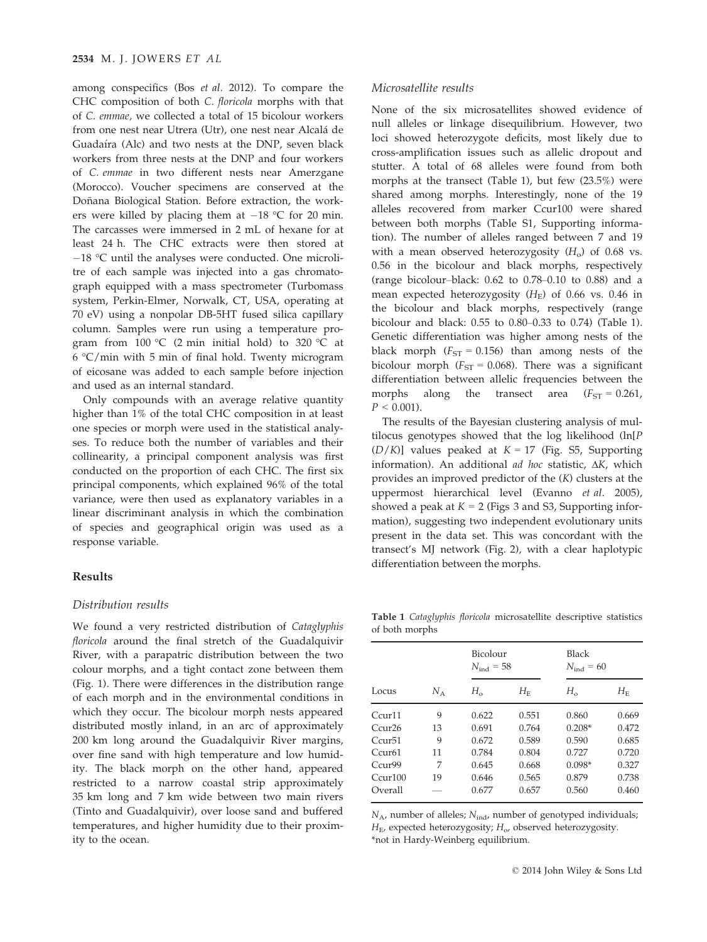among conspecifics (Bos et al. 2012). To compare the CHC composition of both C. floricola morphs with that of C. emmae, we collected a total of 15 bicolour workers from one nest near Utrera (Utr), one nest near Alcalá de Guadaíra (Alc) and two nests at the DNP, seven black workers from three nests at the DNP and four workers of C. emmae in two different nests near Amerzgane (Morocco). Voucher specimens are conserved at the Doñana Biological Station. Before extraction, the workers were killed by placing them at  $-18$  °C for 20 min. The carcasses were immersed in 2 mL of hexane for at least 24 h. The CHC extracts were then stored at  $-18$  °C until the analyses were conducted. One microlitre of each sample was injected into a gas chromatograph equipped with a mass spectrometer (Turbomass system, Perkin-Elmer, Norwalk, CT, USA, operating at 70 eV) using a nonpolar DB-5HT fused silica capillary column. Samples were run using a temperature program from  $100 \, \degree$ C (2 min initial hold) to 320  $\degree$ C at  $6 \degree C$ /min with 5 min of final hold. Twenty microgram of eicosane was added to each sample before injection and used as an internal standard.

Only compounds with an average relative quantity higher than 1% of the total CHC composition in at least one species or morph were used in the statistical analyses. To reduce both the number of variables and their collinearity, a principal component analysis was first conducted on the proportion of each CHC. The first six principal components, which explained 96% of the total variance, were then used as explanatory variables in a linear discriminant analysis in which the combination of species and geographical origin was used as a response variable.

# Results

## Distribution results

We found a very restricted distribution of Cataglyphis floricola around the final stretch of the Guadalquivir River, with a parapatric distribution between the two colour morphs, and a tight contact zone between them (Fig. 1). There were differences in the distribution range of each morph and in the environmental conditions in which they occur. The bicolour morph nests appeared distributed mostly inland, in an arc of approximately 200 km long around the Guadalquivir River margins, over fine sand with high temperature and low humidity. The black morph on the other hand, appeared restricted to a narrow coastal strip approximately 35 km long and 7 km wide between two main rivers (Tinto and Guadalquivir), over loose sand and buffered temperatures, and higher humidity due to their proximity to the ocean.

# Microsatellite results

None of the six microsatellites showed evidence of null alleles or linkage disequilibrium. However, two loci showed heterozygote deficits, most likely due to cross-amplification issues such as allelic dropout and stutter. A total of 68 alleles were found from both morphs at the transect (Table 1), but few (23.5%) were shared among morphs. Interestingly, none of the 19 alleles recovered from marker Ccur100 were shared between both morphs (Table S1, Supporting information). The number of alleles ranged between 7 and 19 with a mean observed heterozygosity  $(H<sub>o</sub>)$  of 0.68 vs. 0.56 in the bicolour and black morphs, respectively (range bicolour–black: 0.62 to 0.78–0.10 to 0.88) and a mean expected heterozygosity  $(H_E)$  of 0.66 vs. 0.46 in the bicolour and black morphs, respectively (range bicolour and black: 0.55 to 0.80–0.33 to 0.74) (Table 1). Genetic differentiation was higher among nests of the black morph ( $F_{ST} = 0.156$ ) than among nests of the bicolour morph ( $F_{ST} = 0.068$ ). There was a significant differentiation between allelic frequencies between the morphs along the transect area  $(F_{ST} = 0.261)$ ,  $P < 0.001$ ).

The results of the Bayesian clustering analysis of multilocus genotypes showed that the log likelihood (ln[P  $(D/K)$ ] values peaked at  $K = 17$  (Fig. S5, Supporting information). An additional ad hoc statistic, ΔK, which provides an improved predictor of the (K) clusters at the uppermost hierarchical level (Evanno et al. 2005), showed a peak at  $K = 2$  (Figs 3 and S3, Supporting information), suggesting two independent evolutionary units present in the data set. This was concordant with the transect's MJ network (Fig. 2), with a clear haplotypic differentiation between the morphs.

Table 1 Cataglyphis floricola microsatellite descriptive statistics of both morphs

|                      |       | Bicolour<br>$N_{\text{ind}} = 58$ |             | Black<br>$N_{\text{ind}} = 60$ |             |  |  |
|----------------------|-------|-----------------------------------|-------------|--------------------------------|-------------|--|--|
| Locus                | $N_A$ | $H_{\alpha}$                      | $H_{\rm E}$ | $H_{\alpha}$                   | $H_{\rm E}$ |  |  |
| $C$ $C$ 11 $T$ 11    | 9     | 0.622                             | 0.551       | 0.860                          | 0.669       |  |  |
| Ccur <sub>26</sub>   | 13    | 0.691                             | 0.764       | $0.208*$                       | 0.472       |  |  |
| Ccur <sub>51</sub>   | 9     | 0.672                             | 0.589       | 0.590                          | 0.685       |  |  |
| Ccur <sub>61</sub>   | 11    | 0.784                             | 0.804       | 0.727                          | 0.720       |  |  |
| C <sub>c</sub> ur99  | 7     | 0.645                             | 0.668       | $0.098*$                       | 0.327       |  |  |
| C <sub>cur</sub> 100 | 19    | 0.646                             | 0.565       | 0.879                          | 0.738       |  |  |
| Overall              |       | 0.677                             | 0.657       | 0.560                          | 0.460       |  |  |

 $N_A$ , number of alleles;  $N_{\text{ind}}$ , number of genotyped individuals;  $H<sub>E</sub>$ , expected heterozygosity;  $H<sub>o</sub>$ , observed heterozygosity. \*not in Hardy-Weinberg equilibrium.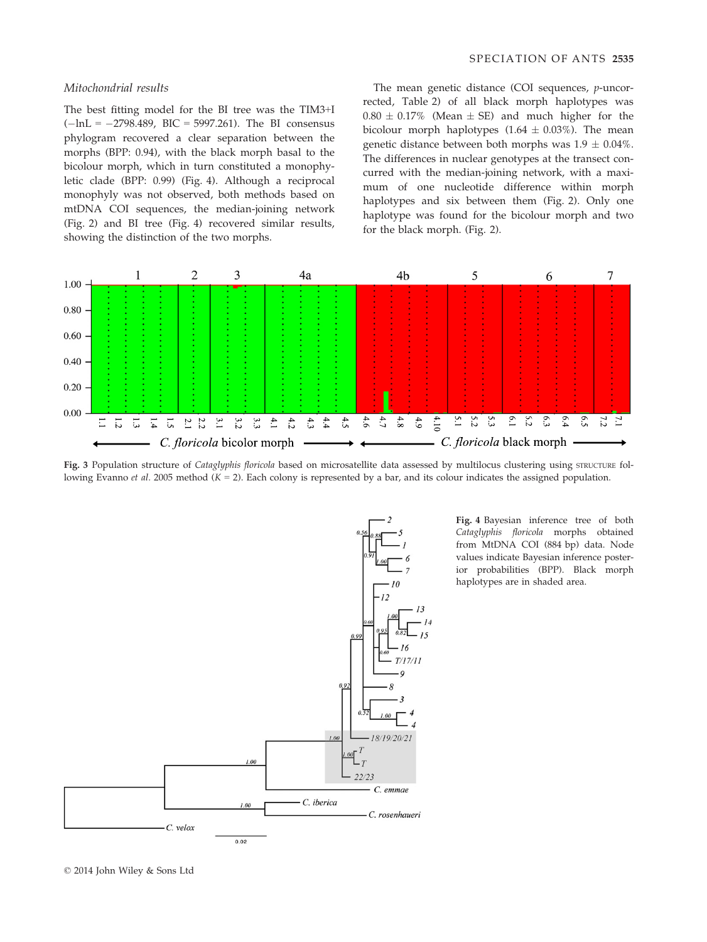#### Mitochondrial results

The best fitting model for the BI tree was the TIM3+I  $(-ln L = -2798.489, BIC = 5997.261).$  The BI consensus phylogram recovered a clear separation between the morphs (BPP: 0.94), with the black morph basal to the bicolour morph, which in turn constituted a monophyletic clade (BPP: 0.99) (Fig. 4). Although a reciprocal monophyly was not observed, both methods based on mtDNA COI sequences, the median-joining network (Fig. 2) and BI tree (Fig. 4) recovered similar results, showing the distinction of the two morphs.

The mean genetic distance (COI sequences, p-uncorrected, Table 2) of all black morph haplotypes was  $0.80 \pm 0.17\%$  (Mean  $\pm$  SE) and much higher for the bicolour morph haplotypes  $(1.64 \pm 0.03\%)$ . The mean genetic distance between both morphs was  $1.9 \pm 0.04\%$ . The differences in nuclear genotypes at the transect concurred with the median-joining network, with a maximum of one nucleotide difference within morph haplotypes and six between them (Fig. 2). Only one haplotype was found for the bicolour morph and two for the black morph. (Fig. 2).



Fig. 3 Population structure of Cataglyphis floricola based on microsatellite data assessed by multilocus clustering using STRUCTURE following Evanno et al. 2005 method  $(K = 2)$ . Each colony is represented by a bar, and its colour indicates the assigned population.



Fig. 4 Bayesian inference tree of both Cataglyphis floricola morphs obtained from MtDNA COI (884 bp) data. Node values indicate Bayesian inference posterior probabilities (BPP). Black morph haplotypes are in shaded area.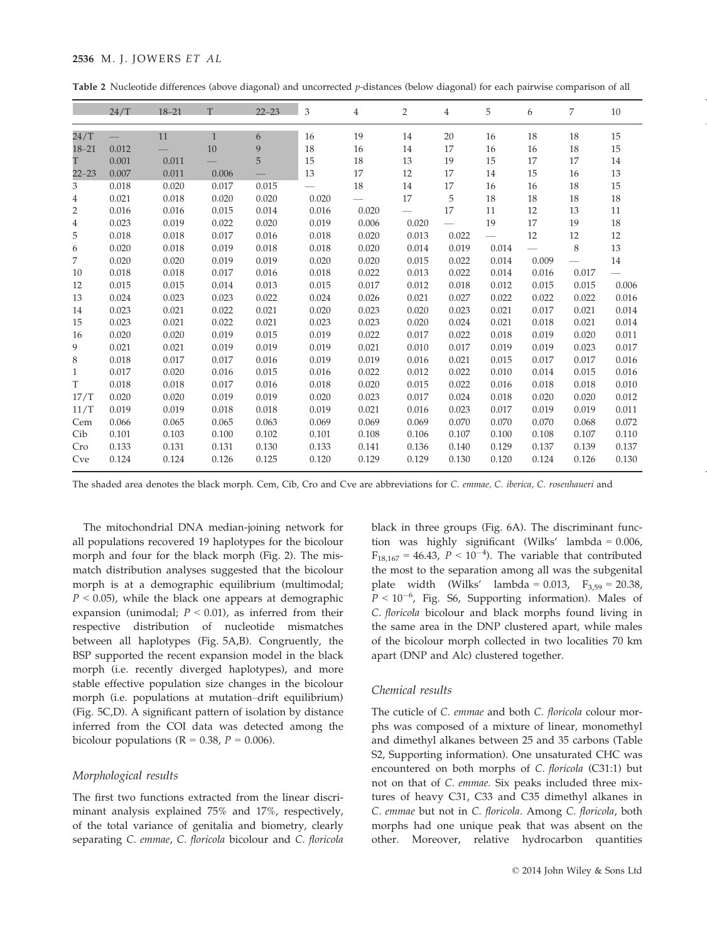# 2536 M. J. JOWERS ET AL

| Table 2 Nucleotide differences (above diagonal) and uncorrected p-distances (below diagonal) for each pairwise comparison of all |  |  |  |  |  |
|----------------------------------------------------------------------------------------------------------------------------------|--|--|--|--|--|
|----------------------------------------------------------------------------------------------------------------------------------|--|--|--|--|--|

|                | 24/T  | $18 - 21$ | т            | $22 - 23$ | 3     | 4     | $\overline{2}$ | 4                        | 5                        | 6     | 7     | 10     |
|----------------|-------|-----------|--------------|-----------|-------|-------|----------------|--------------------------|--------------------------|-------|-------|--------|
| 24/T           |       | 11        | $\mathbf{1}$ | 6         | 16    | 19    | 14             | 20                       | 16                       | 18    | 18    | 15     |
| $18 - 21$      | 0.012 |           | 10           | 9         | 18    | 16    | 14             | 17                       | 16                       | 16    | 18    | 15     |
| T              | 0.001 | 0.011     |              | 5         | 15    | 18    | 13             | 19                       | 15                       | 17    | 17    | 14     |
| $22 - 23$      | 0.007 | 0.011     | 0.006        |           | 13    | 17    | 12             | 17                       | 14                       | 15    | 16    | 13     |
| 3              | 0.018 | 0.020     | 0.017        | 0.015     |       | 18    | 14             | 17                       | 16                       | 16    | 18    | 15     |
| $\overline{4}$ | 0.021 | 0.018     | 0.020        | 0.020     | 0.020 |       | 17             | 5                        | 18                       | 18    | 18    | 18     |
| $\overline{2}$ | 0.016 | 0.016     | 0.015        | 0.014     | 0.016 | 0.020 |                | 17                       | 11                       | 12    | 13    | 11     |
| $\overline{4}$ | 0.023 | 0.019     | 0.022        | 0.020     | 0.019 | 0.006 | 0.020          | $\overline{\phantom{0}}$ | 19                       | 17    | 19    | 18     |
| 5              | 0.018 | 0.018     | 0.017        | 0.016     | 0.018 | 0.020 | 0.013          | 0.022                    | $\overline{\phantom{0}}$ | 12    | 12    | $12\,$ |
| 6              | 0.020 | 0.018     | 0.019        | 0.018     | 0.018 | 0.020 | 0.014          | 0.019                    | 0.014                    |       | 8     | 13     |
| 7              | 0.020 | 0.020     | 0.019        | 0.019     | 0.020 | 0.020 | 0.015          | 0.022                    | 0.014                    | 0.009 |       | 14     |
| 10             | 0.018 | 0.018     | 0.017        | 0.016     | 0.018 | 0.022 | 0.013          | 0.022                    | 0.014                    | 0.016 | 0.017 |        |
| 12             | 0.015 | 0.015     | 0.014        | 0.013     | 0.015 | 0.017 | 0.012          | 0.018                    | 0.012                    | 0.015 | 0.015 | 0.006  |
| 13             | 0.024 | 0.023     | 0.023        | 0.022     | 0.024 | 0.026 | 0.021          | 0.027                    | 0.022                    | 0.022 | 0.022 | 0.016  |
| 14             | 0.023 | 0.021     | 0.022        | 0.021     | 0.020 | 0.023 | 0.020          | 0.023                    | 0.021                    | 0.017 | 0.021 | 0.014  |
| 15             | 0.023 | 0.021     | 0.022        | 0.021     | 0.023 | 0.023 | 0.020          | 0.024                    | 0.021                    | 0.018 | 0.021 | 0.014  |
| 16             | 0.020 | 0.020     | 0.019        | 0.015     | 0.019 | 0.022 | 0.017          | 0.022                    | 0.018                    | 0.019 | 0.020 | 0.011  |
| 9              | 0.021 | 0.021     | 0.019        | 0.019     | 0.019 | 0.021 | 0.010          | 0.017                    | 0.019                    | 0.019 | 0.023 | 0.017  |
| 8              | 0.018 | 0.017     | 0.017        | 0.016     | 0.019 | 0.019 | 0.016          | 0.021                    | 0.015                    | 0.017 | 0.017 | 0.016  |
| 1              | 0.017 | 0.020     | 0.016        | 0.015     | 0.016 | 0.022 | 0.012          | 0.022                    | 0.010                    | 0.014 | 0.015 | 0.016  |
| T              | 0.018 | 0.018     | 0.017        | 0.016     | 0.018 | 0.020 | 0.015          | 0.022                    | 0.016                    | 0.018 | 0.018 | 0.010  |
| 17/T           | 0.020 | 0.020     | 0.019        | 0.019     | 0.020 | 0.023 | 0.017          | 0.024                    | 0.018                    | 0.020 | 0.020 | 0.012  |
| 11/T           | 0.019 | 0.019     | 0.018        | 0.018     | 0.019 | 0.021 | 0.016          | 0.023                    | 0.017                    | 0.019 | 0.019 | 0.011  |
| Cem            | 0.066 | 0.065     | 0.065        | 0.063     | 0.069 | 0.069 | 0.069          | 0.070                    | 0.070                    | 0.070 | 0.068 | 0.072  |
| Cib            | 0.101 | 0.103     | 0.100        | 0.102     | 0.101 | 0.108 | 0.106          | 0.107                    | 0.100                    | 0.108 | 0.107 | 0.110  |
| Cro            | 0.133 | 0.131     | 0.131        | 0.130     | 0.133 | 0.141 | 0.136          | 0.140                    | 0.129                    | 0.137 | 0.139 | 0.137  |
| Cve            | 0.124 | 0.124     | 0.126        | 0.125     | 0.120 | 0.129 | 0.129          | 0.130                    | 0.120                    | 0.124 | 0.126 | 0.130  |

The shaded area denotes the black morph. Cem, Cib, Cro and Cve are abbreviations for C. emmae, C. iberica, C. rosenhaueri and

The mitochondrial DNA median-joining network for all populations recovered 19 haplotypes for the bicolour morph and four for the black morph (Fig. 2). The mismatch distribution analyses suggested that the bicolour morph is at a demographic equilibrium (multimodal;  $P < 0.05$ ), while the black one appears at demographic expansion (unimodal;  $P < 0.01$ ), as inferred from their respective distribution of nucleotide mismatches between all haplotypes (Fig. 5A,B). Congruently, the BSP supported the recent expansion model in the black morph (i.e. recently diverged haplotypes), and more stable effective population size changes in the bicolour morph (i.e. populations at mutation–drift equilibrium) (Fig. 5C,D). A significant pattern of isolation by distance inferred from the COI data was detected among the bicolour populations ( $R = 0.38$ ,  $P = 0.006$ ).

#### Morphological results

The first two functions extracted from the linear discriminant analysis explained 75% and 17%, respectively, of the total variance of genitalia and biometry, clearly separating C. emmae, C. floricola bicolour and C. floricola black in three groups (Fig. 6A). The discriminant function was highly significant (Wilks' lambda = 0.006,  $F_{18,167} = 46.43$ ,  $P < 10^{-4}$ ). The variable that contributed the most to the separation among all was the subgenital plate width (Wilks' lambda =  $0.013$ ,  $F_{3,59} = 20.38$ ,  $P < 10^{-6}$ , Fig. S6, Supporting information). Males of C. floricola bicolour and black morphs found living in the same area in the DNP clustered apart, while males of the bicolour morph collected in two localities 70 km apart (DNP and Alc) clustered together.

# Chemical results

The cuticle of C. emmae and both C. floricola colour morphs was composed of a mixture of linear, monomethyl and dimethyl alkanes between 25 and 35 carbons (Table S2, Supporting information). One unsaturated CHC was encountered on both morphs of C. floricola (C31:1) but not on that of C. emmae. Six peaks included three mixtures of heavy C31, C33 and C35 dimethyl alkanes in C. emmae but not in C. floricola. Among C. floricola, both morphs had one unique peak that was absent on the other. Moreover, relative hydrocarbon quantities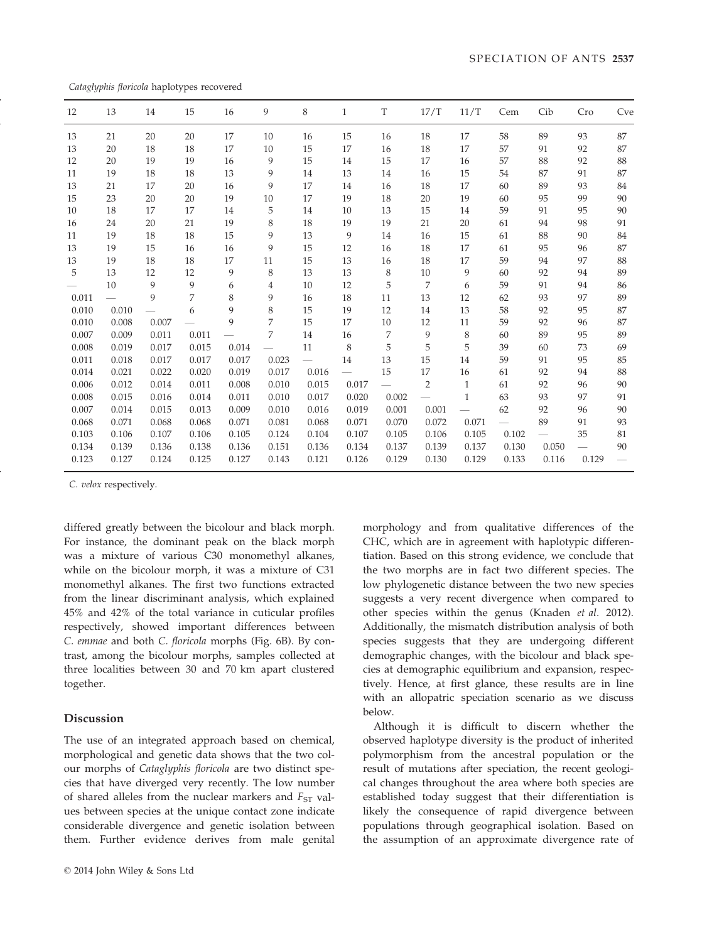Cataglyphis floricola haplotypes recovered

| 12    | 13                       | 14    | 15    | 16    | 9     | 8     | $\mathbf{1}$             | T                        | 17/T         | 11/T         | Cem                      | Cib                      | Cro   | Cve |
|-------|--------------------------|-------|-------|-------|-------|-------|--------------------------|--------------------------|--------------|--------------|--------------------------|--------------------------|-------|-----|
| 13    | 21                       | 20    | 20    | 17    | 10    | 16    | 15                       | 16                       | 18           | 17           | 58                       | 89                       | 93    | 87  |
| 13    | 20                       | 18    | 18    | 17    | 10    | 15    | 17                       | 16                       | 18           | 17           | 57                       | 91                       | 92    | 87  |
| 12    | 20                       | 19    | 19    | 16    | 9     | 15    | 14                       | 15                       | 17           | 16           | 57                       | 88                       | 92    | 88  |
| 11    | 19                       | 18    | 18    | 13    | 9     | 14    | 13                       | 14                       | 16           | 15           | 54                       | 87                       | 91    | 87  |
| 13    | 21                       | 17    | 20    | 16    | 9     | 17    | 14                       | 16                       | 18           | 17           | 60                       | 89                       | 93    | 84  |
| 15    | 23                       | 20    | 20    | 19    | 10    | 17    | 19                       | 18                       | 20           | 19           | 60                       | 95                       | 99    | 90  |
| 10    | 18                       | 17    | 17    | 14    | 5     | 14    | 10                       | 13                       | 15           | 14           | 59                       | 91                       | 95    | 90  |
| 16    | 24                       | 20    | 21    | 19    | 8     | 18    | 19                       | 19                       | 21           | 20           | 61                       | 94                       | 98    | 91  |
| 11    | 19                       | 18    | 18    | 15    | 9     | 13    | 9                        | 14                       | 16           | 15           | 61                       | 88                       | 90    | 84  |
| 13    | 19                       | 15    | 16    | 16    | 9     | 15    | 12                       | 16                       | 18           | 17           | 61                       | 95                       | 96    | 87  |
| 13    | 19                       | 18    | 18    | 17    | 11    | 15    | 13                       | 16                       | 18           | 17           | 59                       | 94                       | 97    | 88  |
| 5     | 13                       | 12    | 12    | 9     | 8     | 13    | 13                       | 8                        | 10           | 9            | 60                       | 92                       | 94    | 89  |
|       | 10                       | 9     | 9     | 6     | 4     | 10    | 12                       | 5                        | 7            | 6            | 59                       | 91                       | 94    | 86  |
| 0.011 | $\overline{\phantom{0}}$ | 9     | 7     | 8     | 9     | 16    | 18                       | 11                       | 13           | 12           | 62                       | 93                       | 97    | 89  |
| 0.010 | 0.010                    |       | 6     | 9     | 8     | 15    | 19                       | 12                       | 14           | 13           | 58                       | 92                       | 95    | 87  |
| 0.010 | 0.008                    | 0.007 |       | 9     | 7     | 15    | 17                       | 10                       | 12           | 11           | 59                       | 92                       | 96    | 87  |
| 0.007 | 0.009                    | 0.011 | 0.011 |       | 7     | 14    | 16                       | 7                        | 9            | 8            | 60                       | 89                       | 95    | 89  |
| 0.008 | 0.019                    | 0.017 | 0.015 | 0.014 |       | 11    | 8                        | 5                        | 5            | 5            | 39                       | 60                       | 73    | 69  |
| 0.011 | 0.018                    | 0.017 | 0.017 | 0.017 | 0.023 |       | 14                       | 13                       | 15           | 14           | 59                       | 91                       | 95    | 85  |
| 0.014 | 0.021                    | 0.022 | 0.020 | 0.019 | 0.017 | 0.016 | $\overline{\phantom{0}}$ | 15                       | 17           | 16           | 61                       | 92                       | 94    | 88  |
| 0.006 | 0.012                    | 0.014 | 0.011 | 0.008 | 0.010 | 0.015 | 0.017                    | $\overline{\phantom{0}}$ | $\mathbf{2}$ | $\mathbf{1}$ | 61                       | 92                       | 96    | 90  |
| 0.008 | 0.015                    | 0.016 | 0.014 | 0.011 | 0.010 | 0.017 | 0.020                    | 0.002                    |              | 1            | 63                       | 93                       | 97    | 91  |
| 0.007 | 0.014                    | 0.015 | 0.013 | 0.009 | 0.010 | 0.016 | 0.019                    | 0.001                    | 0.001        |              | 62                       | 92                       | 96    | 90  |
| 0.068 | 0.071                    | 0.068 | 0.068 | 0.071 | 0.081 | 0.068 | 0.071                    | 0.070                    | 0.072        | 0.071        | $\overline{\phantom{0}}$ | 89                       | 91    | 93  |
| 0.103 | 0.106                    | 0.107 | 0.106 | 0.105 | 0.124 | 0.104 | 0.107                    | 0.105                    | 0.106        | 0.105        | 0.102                    | $\overline{\phantom{0}}$ | 35    | 81  |
| 0.134 | 0.139                    | 0.136 | 0.138 | 0.136 | 0.151 | 0.136 | 0.134                    | 0.137                    | 0.139        | 0.137        | 0.130                    | 0.050                    |       | 90  |
| 0.123 | 0.127                    | 0.124 | 0.125 | 0.127 | 0.143 | 0.121 | 0.126                    | 0.129                    | 0.130        | 0.129        | 0.133                    | 0.116                    | 0.129 |     |
|       |                          |       |       |       |       |       |                          |                          |              |              |                          |                          |       |     |

C. velox respectively.

differed greatly between the bicolour and black morph. For instance, the dominant peak on the black morph was a mixture of various C30 monomethyl alkanes, while on the bicolour morph, it was a mixture of C31 monomethyl alkanes. The first two functions extracted from the linear discriminant analysis, which explained 45% and 42% of the total variance in cuticular profiles respectively, showed important differences between C. emmae and both C. floricola morphs (Fig. 6B). By contrast, among the bicolour morphs, samples collected at three localities between 30 and 70 km apart clustered together.

# Discussion

The use of an integrated approach based on chemical, morphological and genetic data shows that the two colour morphs of Cataglyphis floricola are two distinct species that have diverged very recently. The low number of shared alleles from the nuclear markers and  $F_{ST}$  values between species at the unique contact zone indicate considerable divergence and genetic isolation between them. Further evidence derives from male genital morphology and from qualitative differences of the CHC, which are in agreement with haplotypic differentiation. Based on this strong evidence, we conclude that the two morphs are in fact two different species. The low phylogenetic distance between the two new species suggests a very recent divergence when compared to other species within the genus (Knaden et al. 2012). Additionally, the mismatch distribution analysis of both species suggests that they are undergoing different demographic changes, with the bicolour and black species at demographic equilibrium and expansion, respectively. Hence, at first glance, these results are in line with an allopatric speciation scenario as we discuss below.

Although it is difficult to discern whether the observed haplotype diversity is the product of inherited polymorphism from the ancestral population or the result of mutations after speciation, the recent geological changes throughout the area where both species are established today suggest that their differentiation is likely the consequence of rapid divergence between populations through geographical isolation. Based on the assumption of an approximate divergence rate of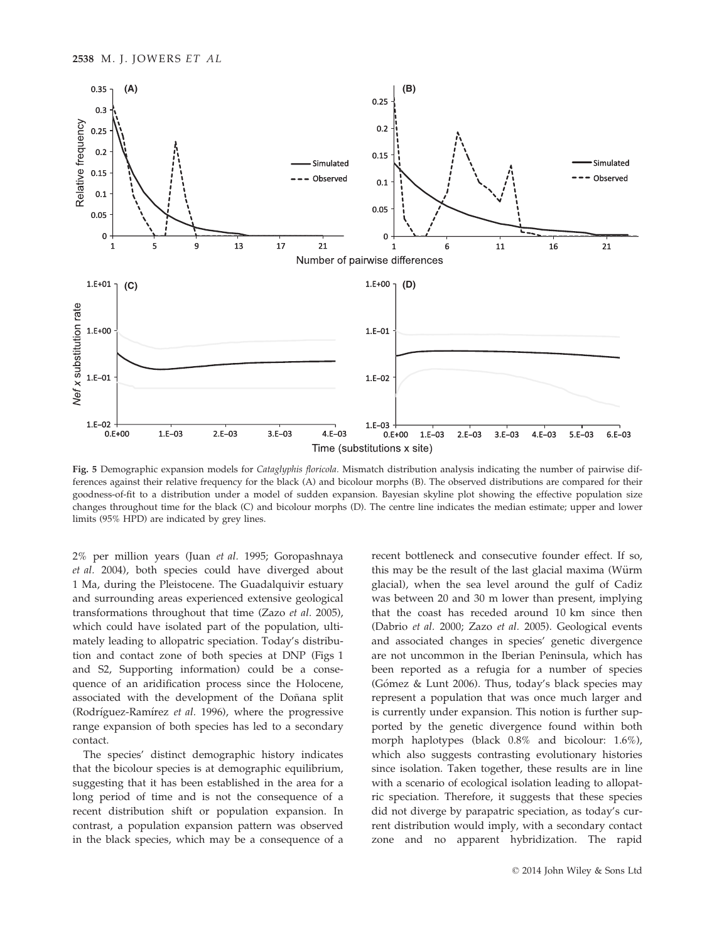

Fig. 5 Demographic expansion models for Cataglyphis floricola. Mismatch distribution analysis indicating the number of pairwise differences against their relative frequency for the black (A) and bicolour morphs (B). The observed distributions are compared for their goodness-of-fit to a distribution under a model of sudden expansion. Bayesian skyline plot showing the effective population size changes throughout time for the black (C) and bicolour morphs (D). The centre line indicates the median estimate; upper and lower limits (95% HPD) are indicated by grey lines.

2% per million years (Juan et al. 1995; Goropashnaya et al. 2004), both species could have diverged about 1 Ma, during the Pleistocene. The Guadalquivir estuary and surrounding areas experienced extensive geological transformations throughout that time (Zazo et al. 2005), which could have isolated part of the population, ultimately leading to allopatric speciation. Today's distribution and contact zone of both species at DNP (Figs 1 and S2, Supporting information) could be a consequence of an aridification process since the Holocene, associated with the development of the Doñana split (Rodríguez-Ramírez et al. 1996), where the progressive range expansion of both species has led to a secondary contact.

The species' distinct demographic history indicates that the bicolour species is at demographic equilibrium, suggesting that it has been established in the area for a long period of time and is not the consequence of a recent distribution shift or population expansion. In contrast, a population expansion pattern was observed in the black species, which may be a consequence of a

recent bottleneck and consecutive founder effect. If so, this may be the result of the last glacial maxima (Würm glacial), when the sea level around the gulf of Cadiz was between 20 and 30 m lower than present, implying that the coast has receded around 10 km since then (Dabrio et al. 2000; Zazo et al. 2005). Geological events and associated changes in species' genetic divergence are not uncommon in the Iberian Peninsula, which has been reported as a refugia for a number of species (Gómez & Lunt 2006). Thus, today's black species may represent a population that was once much larger and is currently under expansion. This notion is further supported by the genetic divergence found within both morph haplotypes (black 0.8% and bicolour: 1.6%), which also suggests contrasting evolutionary histories since isolation. Taken together, these results are in line with a scenario of ecological isolation leading to allopatric speciation. Therefore, it suggests that these species did not diverge by parapatric speciation, as today's current distribution would imply, with a secondary contact zone and no apparent hybridization. The rapid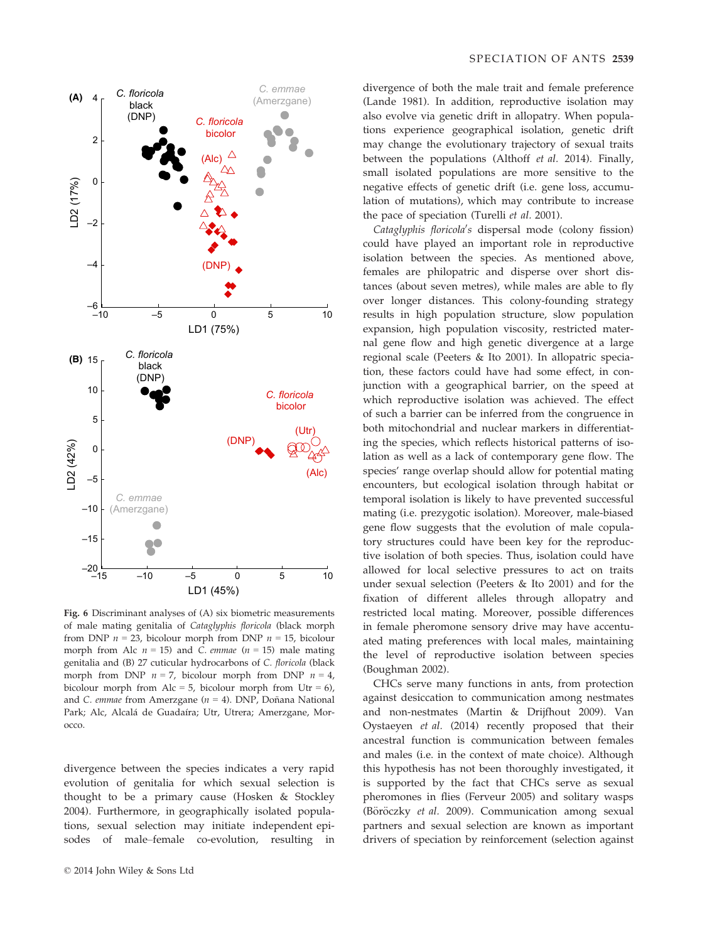

Fig. 6 Discriminant analyses of (A) six biometric measurements of male mating genitalia of Cataglyphis floricola (black morph from DNP  $n = 23$ , bicolour morph from DNP  $n = 15$ , bicolour morph from Alc  $n = 15$ ) and C. emmae ( $n = 15$ ) male mating genitalia and (B) 27 cuticular hydrocarbons of C. floricola (black morph from DNP  $n = 7$ , bicolour morph from DNP  $n = 4$ , bicolour morph from Alc = 5, bicolour morph from Utr = 6), and C. emmae from Amerzgane ( $n = 4$ ). DNP, Doñana National Park; Alc, Alcalá de Guadaíra; Utr, Utrera; Amerzgane, Morocco.

divergence between the species indicates a very rapid evolution of genitalia for which sexual selection is thought to be a primary cause (Hosken & Stockley 2004). Furthermore, in geographically isolated populations, sexual selection may initiate independent episodes of male–female co-evolution, resulting in divergence of both the male trait and female preference (Lande 1981). In addition, reproductive isolation may also evolve via genetic drift in allopatry. When populations experience geographical isolation, genetic drift may change the evolutionary trajectory of sexual traits between the populations (Althoff et al. 2014). Finally, small isolated populations are more sensitive to the negative effects of genetic drift (i.e. gene loss, accumulation of mutations), which may contribute to increase the pace of speciation (Turelli et al. 2001).

Cataglyphis floricola's dispersal mode (colony fission) could have played an important role in reproductive isolation between the species. As mentioned above, females are philopatric and disperse over short distances (about seven metres), while males are able to fly over longer distances. This colony-founding strategy results in high population structure, slow population expansion, high population viscosity, restricted maternal gene flow and high genetic divergence at a large regional scale (Peeters & Ito 2001). In allopatric speciation, these factors could have had some effect, in conjunction with a geographical barrier, on the speed at which reproductive isolation was achieved. The effect of such a barrier can be inferred from the congruence in both mitochondrial and nuclear markers in differentiating the species, which reflects historical patterns of isolation as well as a lack of contemporary gene flow. The species' range overlap should allow for potential mating encounters, but ecological isolation through habitat or temporal isolation is likely to have prevented successful mating (i.e. prezygotic isolation). Moreover, male-biased gene flow suggests that the evolution of male copulatory structures could have been key for the reproductive isolation of both species. Thus, isolation could have allowed for local selective pressures to act on traits under sexual selection (Peeters & Ito 2001) and for the fixation of different alleles through allopatry and restricted local mating. Moreover, possible differences in female pheromone sensory drive may have accentuated mating preferences with local males, maintaining the level of reproductive isolation between species (Boughman 2002).

CHCs serve many functions in ants, from protection against desiccation to communication among nestmates and non-nestmates (Martin & Drijfhout 2009). Van Oystaeyen et al. (2014) recently proposed that their ancestral function is communication between females and males (i.e. in the context of mate choice). Although this hypothesis has not been thoroughly investigated, it is supported by the fact that CHCs serve as sexual pheromones in flies (Ferveur 2005) and solitary wasps (Böröczky et al. 2009). Communication among sexual partners and sexual selection are known as important drivers of speciation by reinforcement (selection against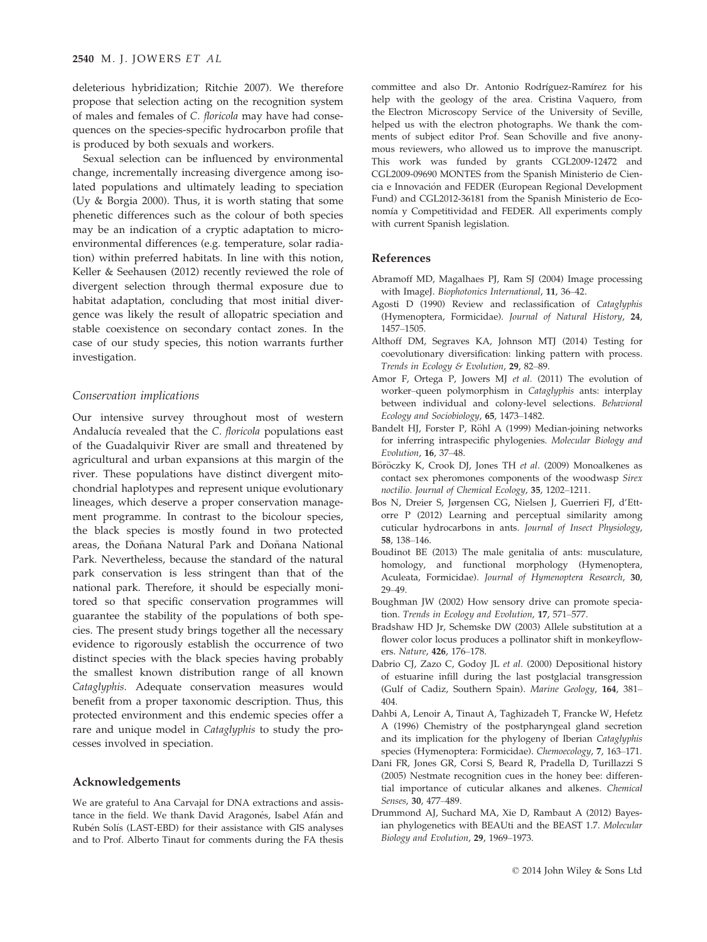deleterious hybridization; Ritchie 2007). We therefore propose that selection acting on the recognition system of males and females of C. floricola may have had consequences on the species-specific hydrocarbon profile that is produced by both sexuals and workers.

Sexual selection can be influenced by environmental change, incrementally increasing divergence among isolated populations and ultimately leading to speciation (Uy & Borgia 2000). Thus, it is worth stating that some phenetic differences such as the colour of both species may be an indication of a cryptic adaptation to microenvironmental differences (e.g. temperature, solar radiation) within preferred habitats. In line with this notion, Keller & Seehausen (2012) recently reviewed the role of divergent selection through thermal exposure due to habitat adaptation, concluding that most initial divergence was likely the result of allopatric speciation and stable coexistence on secondary contact zones. In the case of our study species, this notion warrants further investigation.

# Conservation implications

Our intensive survey throughout most of western Andalucía revealed that the C. floricola populations east of the Guadalquivir River are small and threatened by agricultural and urban expansions at this margin of the river. These populations have distinct divergent mitochondrial haplotypes and represent unique evolutionary lineages, which deserve a proper conservation management programme. In contrast to the bicolour species, the black species is mostly found in two protected areas, the Doñana Natural Park and Doñana National Park. Nevertheless, because the standard of the natural park conservation is less stringent than that of the national park. Therefore, it should be especially monitored so that specific conservation programmes will guarantee the stability of the populations of both species. The present study brings together all the necessary evidence to rigorously establish the occurrence of two distinct species with the black species having probably the smallest known distribution range of all known Cataglyphis. Adequate conservation measures would benefit from a proper taxonomic description. Thus, this protected environment and this endemic species offer a rare and unique model in Cataglyphis to study the processes involved in speciation.

## Acknowledgements

We are grateful to Ana Carvajal for DNA extractions and assistance in the field. We thank David Aragonés, Isabel Afán and Rubén Solís (LAST-EBD) for their assistance with GIS analyses and to Prof. Alberto Tinaut for comments during the FA thesis

committee and also Dr. Antonio Rodríguez-Ramírez for his help with the geology of the area. Cristina Vaquero, from the Electron Microscopy Service of the University of Seville, helped us with the electron photographs. We thank the comments of subject editor Prof. Sean Schoville and five anonymous reviewers, who allowed us to improve the manuscript. This work was funded by grants CGL2009-12472 and CGL2009-09690 MONTES from the Spanish Ministerio de Ciencia e Innovación and FEDER (European Regional Development Fund) and CGL2012-36181 from the Spanish Ministerio de Economía y Competitividad and FEDER. All experiments comply with current Spanish legislation.

#### References

- Abramoff MD, Magalhaes PJ, Ram SJ (2004) Image processing with ImageJ. Biophotonics International, 11, 36-42.
- Agosti D (1990) Review and reclassification of Cataglyphis (Hymenoptera, Formicidae). Journal of Natural History, 24, 1457–1505.
- Althoff DM, Segraves KA, Johnson MTJ (2014) Testing for coevolutionary diversification: linking pattern with process. Trends in Ecology & Evolution, 29, 82–89.
- Amor F, Ortega P, Jowers MJ et al. (2011) The evolution of worker–queen polymorphism in Cataglyphis ants: interplay between individual and colony-level selections. Behavioral Ecology and Sociobiology, 65, 1473–1482.
- Bandelt HJ, Forster P, Röhl A (1999) Median-joining networks for inferring intraspecific phylogenies. Molecular Biology and Evolution, 16, 37–48.
- Böröczky K, Crook DJ, Jones TH et al. (2009) Monoalkenes as contact sex pheromones components of the woodwasp Sirex noctilio. Journal of Chemical Ecology, 35, 1202–1211.
- Bos N, Dreier S, Jørgensen CG, Nielsen J, Guerrieri FJ, d'Ettorre P (2012) Learning and perceptual similarity among cuticular hydrocarbons in ants. Journal of Insect Physiology, 58, 138–146.
- Boudinot BE (2013) The male genitalia of ants: musculature, homology, and functional morphology (Hymenoptera, Aculeata, Formicidae). Journal of Hymenoptera Research, 30, 29–49.
- Boughman JW (2002) How sensory drive can promote speciation. Trends in Ecology and Evolution, 17, 571–577.
- Bradshaw HD Jr, Schemske DW (2003) Allele substitution at a flower color locus produces a pollinator shift in monkeyflowers. Nature, 426, 176–178.
- Dabrio CJ, Zazo C, Godoy JL et al. (2000) Depositional history of estuarine infill during the last postglacial transgression (Gulf of Cadiz, Southern Spain). Marine Geology, 164, 381– 404.
- Dahbi A, Lenoir A, Tinaut A, Taghizadeh T, Francke W, Hefetz A (1996) Chemistry of the postpharyngeal gland secretion and its implication for the phylogeny of Iberian Cataglyphis species (Hymenoptera: Formicidae). Chemoecology, 7, 163-171.
- Dani FR, Jones GR, Corsi S, Beard R, Pradella D, Turillazzi S (2005) Nestmate recognition cues in the honey bee: differential importance of cuticular alkanes and alkenes. Chemical Senses, 30, 477–489.
- Drummond AJ, Suchard MA, Xie D, Rambaut A (2012) Bayesian phylogenetics with BEAUti and the BEAST 1.7. Molecular Biology and Evolution, 29, 1969–1973.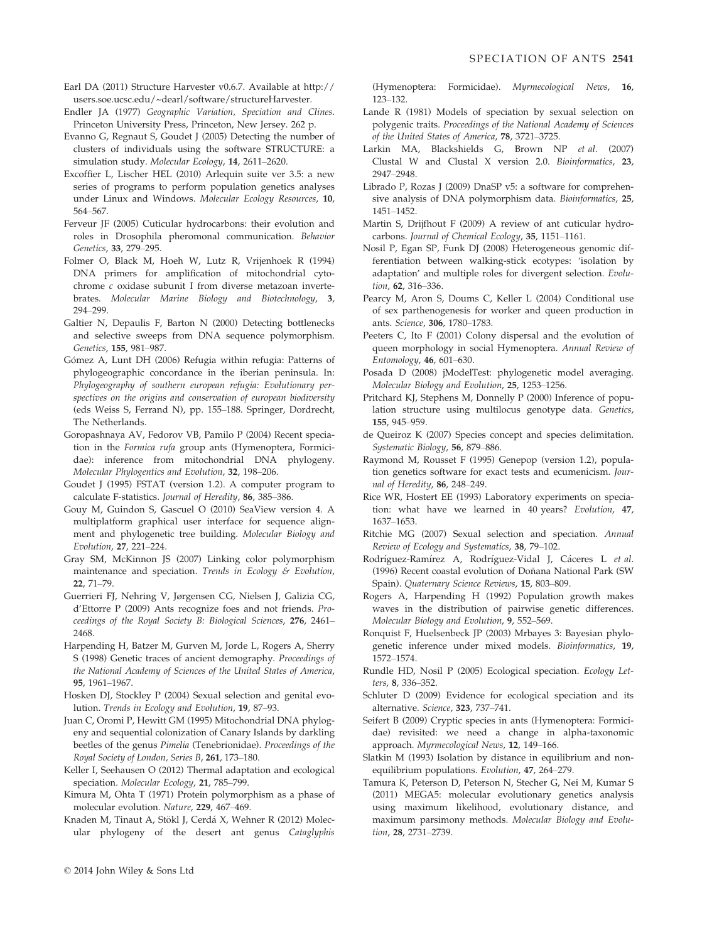- Earl DA (2011) Structure Harvester v0.6.7. Available at http:// users.soe.ucsc.edu/~dearl/software/structureHarvester.
- Endler JA (1977) Geographic Variation, Speciation and Clines. Princeton University Press, Princeton, New Jersey. 262 p.
- Evanno G, Regnaut S, Goudet J (2005) Detecting the number of clusters of individuals using the software STRUCTURE: a simulation study. Molecular Ecology, 14, 2611–2620.
- Excoffier L, Lischer HEL (2010) Arlequin suite ver 3.5: a new series of programs to perform population genetics analyses under Linux and Windows. Molecular Ecology Resources, 10, 564–567.
- Ferveur JF (2005) Cuticular hydrocarbons: their evolution and roles in Drosophila pheromonal communication. Behavior Genetics, 33, 279–295.
- Folmer O, Black M, Hoeh W, Lutz R, Vrijenhoek R (1994) DNA primers for amplification of mitochondrial cytochrome c oxidase subunit I from diverse metazoan invertebrates. Molecular Marine Biology and Biotechnology, 3, 294–299.
- Galtier N, Depaulis F, Barton N (2000) Detecting bottlenecks and selective sweeps from DNA sequence polymorphism. Genetics, 155, 981–987.
- Gómez A, Lunt DH (2006) Refugia within refugia: Patterns of phylogeographic concordance in the iberian peninsula. In: Phylogeography of southern european refugia: Evolutionary perspectives on the origins and conservation of european biodiversity (eds Weiss S, Ferrand N), pp. 155–188. Springer, Dordrecht, The Netherlands.
- Goropashnaya AV, Fedorov VB, Pamilo P (2004) Recent speciation in the Formica rufa group ants (Hymenoptera, Formicidae): inference from mitochondrial DNA phylogeny. Molecular Phylogentics and Evolution, 32, 198–206.
- Goudet J (1995) FSTAT (version 1.2). A computer program to calculate F-statistics. Journal of Heredity, 86, 385–386.
- Gouy M, Guindon S, Gascuel O (2010) SeaView version 4. A multiplatform graphical user interface for sequence alignment and phylogenetic tree building. Molecular Biology and Evolution, 27, 221–224.
- Gray SM, McKinnon JS (2007) Linking color polymorphism maintenance and speciation. Trends in Ecology & Evolution, 22, 71–79.
- Guerrieri FJ, Nehring V, Jørgensen CG, Nielsen J, Galizia CG, d'Ettorre P (2009) Ants recognize foes and not friends. Proceedings of the Royal Society B: Biological Sciences, 276, 2461– 2468.
- Harpending H, Batzer M, Gurven M, Jorde L, Rogers A, Sherry S (1998) Genetic traces of ancient demography. Proceedings of the National Academy of Sciences of the United States of America, 95, 1961–1967.
- Hosken DJ, Stockley P (2004) Sexual selection and genital evolution. Trends in Ecology and Evolution, 19, 87–93.
- Juan C, Oromi P, Hewitt GM (1995) Mitochondrial DNA phylogeny and sequential colonization of Canary Islands by darkling beetles of the genus Pimelia (Tenebrionidae). Proceedings of the Royal Society of London, Series B, 261, 173–180.
- Keller I, Seehausen O (2012) Thermal adaptation and ecological speciation. Molecular Ecology, 21, 785-799.
- Kimura M, Ohta T (1971) Protein polymorphism as a phase of molecular evolution. Nature, 229, 467–469.
- Knaden M, Tinaut A, Stökl J, Cerdá X, Wehner R (2012) Molecular phylogeny of the desert ant genus Cataglyphis

(Hymenoptera: Formicidae). Myrmecological News, 16, 123–132.

- Lande R (1981) Models of speciation by sexual selection on polygenic traits. Proceedings of the National Academy of Sciences of the United States of America, 78, 3721–3725.
- Larkin MA, Blackshields G, Brown NP et al. (2007) Clustal W and Clustal X version 2.0. Bioinformatics, 23, 2947–2948.
- Librado P, Rozas J (2009) DnaSP v5: a software for comprehensive analysis of DNA polymorphism data. Bioinformatics, 25, 1451–1452.
- Martin S, Drijfhout F (2009) A review of ant cuticular hydrocarbons. Journal of Chemical Ecology, 35, 1151–1161.
- Nosil P, Egan SP, Funk DJ (2008) Heterogeneous genomic differentiation between walking-stick ecotypes: 'isolation by adaptation' and multiple roles for divergent selection. Evolution, **62**, 316–336.
- Pearcy M, Aron S, Doums C, Keller L (2004) Conditional use of sex parthenogenesis for worker and queen production in ants. Science, 306, 1780–1783.
- Peeters C, Ito F (2001) Colony dispersal and the evolution of queen morphology in social Hymenoptera. Annual Review of Entomology, 46, 601–630.
- Posada D (2008) jModelTest: phylogenetic model averaging. Molecular Biology and Evolution, 25, 1253–1256.
- Pritchard KJ, Stephens M, Donnelly P (2000) Inference of population structure using multilocus genotype data. Genetics, 155, 945–959.
- de Queiroz K (2007) Species concept and species delimitation. Systematic Biology, 56, 879–886.
- Raymond M, Rousset F (1995) Genepop (version 1.2), population genetics software for exact tests and ecumenicism. Journal of Heredity, 86, 248–249.
- Rice WR, Hostert EE (1993) Laboratory experiments on speciation: what have we learned in 40 years? Evolution, 47, 1637–1653.
- Ritchie MG (2007) Sexual selection and speciation. Annual Review of Ecology and Systematics, 38, 79–102.
- Rodríguez-Ramírez A, Rodríguez-Vidal J, Cáceres L et al. (1996) Recent coastal evolution of Donana National Park (SW ~ Spain). Quaternary Science Reviews, 15, 803–809.
- Rogers A, Harpending H (1992) Population growth makes waves in the distribution of pairwise genetic differences. Molecular Biology and Evolution, 9, 552–569.
- Ronquist F, Huelsenbeck JP (2003) Mrbayes 3: Bayesian phylogenetic inference under mixed models. Bioinformatics, 19, 1572–1574.
- Rundle HD, Nosil P (2005) Ecological speciation. Ecology Letters, 8, 336–352.
- Schluter D (2009) Evidence for ecological speciation and its alternative. Science, 323, 737–741.
- Seifert B (2009) Cryptic species in ants (Hymenoptera: Formicidae) revisited: we need a change in alpha-taxonomic approach. Myrmecological News, 12, 149–166.
- Slatkin M (1993) Isolation by distance in equilibrium and nonequilibrium populations. Evolution, 47, 264–279.
- Tamura K, Peterson D, Peterson N, Stecher G, Nei M, Kumar S (2011) MEGA5: molecular evolutionary genetics analysis using maximum likelihood, evolutionary distance, and maximum parsimony methods. Molecular Biology and Evolution, 28, 2731–2739.